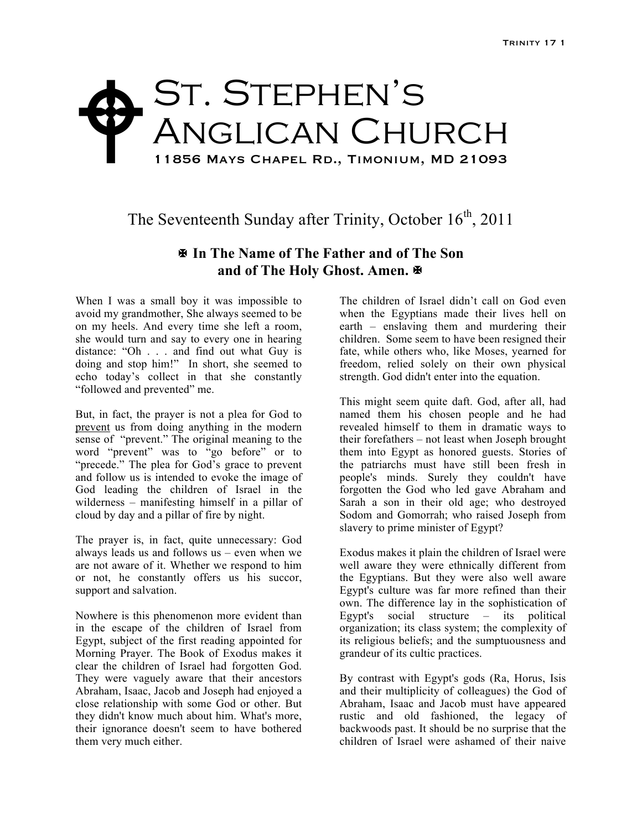## St. Stephen's ANGLICAN CHURCH 11856 Mays Chapel Rd., Timonium, MD 21093 \$

## The Seventeenth Sunday after Trinity, October  $16<sup>th</sup>$ , 2011

## **In The Name of The Father and of The Son and of The Holy Ghost. Amen.**

When I was a small boy it was impossible to avoid my grandmother, She always seemed to be on my heels. And every time she left a room, she would turn and say to every one in hearing distance: "Oh . . . and find out what Guy is doing and stop him!" In short, she seemed to echo today's collect in that she constantly "followed and prevented" me.

But, in fact, the prayer is not a plea for God to prevent us from doing anything in the modern sense of "prevent." The original meaning to the word "prevent" was to "go before" or to "precede." The plea for God's grace to prevent and follow us is intended to evoke the image of God leading the children of Israel in the wilderness – manifesting himself in a pillar of cloud by day and a pillar of fire by night.

The prayer is, in fact, quite unnecessary: God always leads us and follows us – even when we are not aware of it. Whether we respond to him or not, he constantly offers us his succor, support and salvation.

Nowhere is this phenomenon more evident than in the escape of the children of Israel from Egypt, subject of the first reading appointed for Morning Prayer. The Book of Exodus makes it clear the children of Israel had forgotten God. They were vaguely aware that their ancestors Abraham, Isaac, Jacob and Joseph had enjoyed a close relationship with some God or other. But they didn't know much about him. What's more, their ignorance doesn't seem to have bothered them very much either.

The children of Israel didn't call on God even when the Egyptians made their lives hell on earth – enslaving them and murdering their children. Some seem to have been resigned their fate, while others who, like Moses, yearned for freedom, relied solely on their own physical strength. God didn't enter into the equation.

This might seem quite daft. God, after all, had named them his chosen people and he had revealed himself to them in dramatic ways to their forefathers – not least when Joseph brought them into Egypt as honored guests. Stories of the patriarchs must have still been fresh in people's minds. Surely they couldn't have forgotten the God who led gave Abraham and Sarah a son in their old age; who destroyed Sodom and Gomorrah; who raised Joseph from slavery to prime minister of Egypt?

Exodus makes it plain the children of Israel were well aware they were ethnically different from the Egyptians. But they were also well aware Egypt's culture was far more refined than their own. The difference lay in the sophistication of Egypt's social structure – its political organization; its class system; the complexity of its religious beliefs; and the sumptuousness and grandeur of its cultic practices.

By contrast with Egypt's gods (Ra, Horus, Isis and their multiplicity of colleagues) the God of Abraham, Isaac and Jacob must have appeared rustic and old fashioned, the legacy of backwoods past. It should be no surprise that the children of Israel were ashamed of their naive